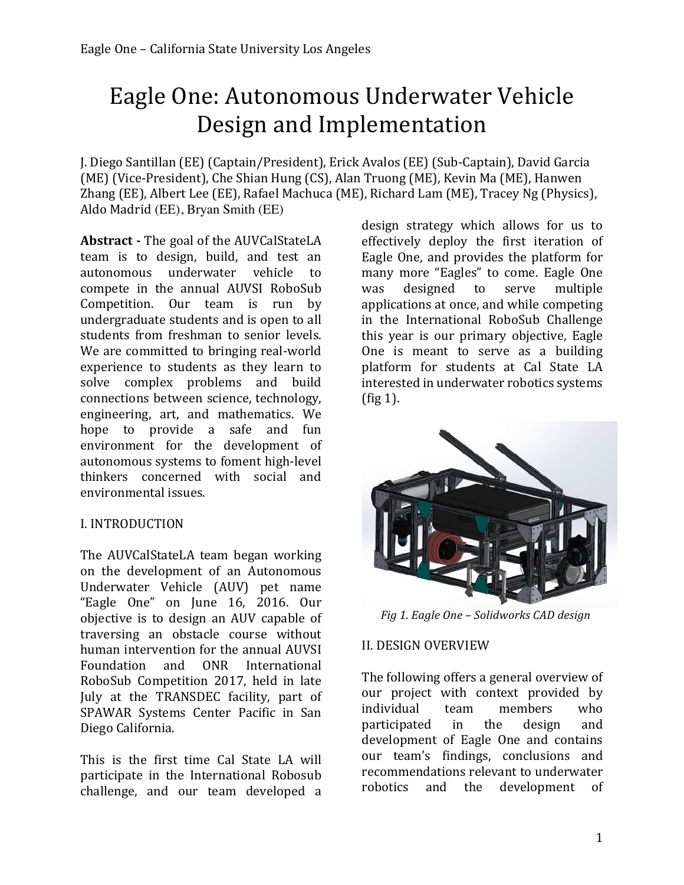# Eagle One: Autonomous Underwater Vehicle Design and Implementation

J. Diego Santillan (EE) (Captain/President), Erick Avalos (EE) (Sub-Captain), David Garcia (ME) (Vice-President), Che Shian Hung (CS), Alan Truong (ME), Kevin Ma (ME), Hanwen Zhang (EE), Albert Lee (EE), Rafael Machuca (ME), Richard Lam (ME), Tracey Ng (Physics), Aldo Madrid (EE), Bryan Smith (EE)

**Abstract** - The goal of the AUVCalStateLA team is to design, build, and test an autonomous underwater vehicle to compete in the annual AUVSI RoboSub Competition. Our team is run by undergraduate students and is open to all students from freshman to senior levels. We are committed to bringing real-world experience to students as they learn to solve complex problems and build connections between science, technology, engineering, art, and mathematics. We hope to provide a safe and fun environment for the development of autonomous systems to foment high-level thinkers concerned with social and environmental issues.

#### I. INTRODUCTION

The AUVCalStateLA team began working on the development of an Autonomous Underwater Vehicle (AUV) pet name "Eagle One" on June 16, 2016. Our objective is to design an AUV capable of traversing an obstacle course without human intervention for the annual AUVSI Foundation and ONR International RoboSub Competition 2017, held in late July at the TRANSDEC facility, part of SPAWAR Systems Center Pacific in San Diego California.

This is the first time Cal State LA will participate in the International Robosub challenge, and our team developed a  design strategy which allows for us to effectively deploy the first iteration of Eagle One, and provides the platform for many more "Eagles" to come. Eagle One was designed to serve multiple applications at once, and while competing in the International RoboSub Challenge this year is our primary objective, Eagle One is meant to serve as a building platform for students at Cal State LA interested in underwater robotics systems  $(fig 1)$ .



 *Fig 1. Eagle One – Solidworks CAD design*

#### II. DESIGN OVERVIEW

The following offers a general overview of our project with context provided by individual team members who participated in the design and development of Eagle One and contains our team's findings, conclusions and recommendations relevant to underwater robotics and the development of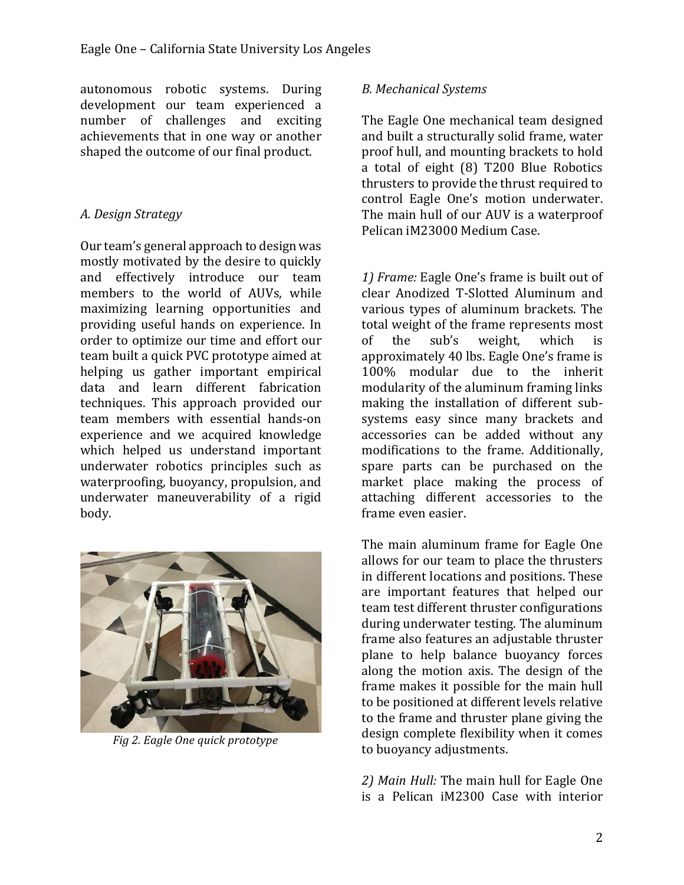autonomous robotic systems. During development our team experienced a number of challenges and exciting achievements that in one way or another shaped the outcome of our final product.

#### *A. Design Strategy*

Our team's general approach to design was mostly motivated by the desire to quickly and effectively introduce our team members to the world of AUVs, while maximizing learning opportunities and providing useful hands on experience. In order to optimize our time and effort our team built a quick PVC prototype aimed at helping us gather important empirical data and learn different fabrication techniques. This approach provided our team members with essential hands-on experience and we acquired knowledge which helped us understand important underwater robotics principles such as waterproofing, buoyancy, propulsion, and underwater maneuverability of a rigid body. 



*Fig 2. Eagle One quick prototype* 

#### *B. Mechanical Systems*

The Eagle One mechanical team designed and built a structurally solid frame, water proof hull, and mounting brackets to hold a total of eight (8) T200 Blue Robotics thrusters to provide the thrust required to control Eagle One's motion underwater. The main hull of our AUV is a waterproof Pelican iM23000 Medium Case.

1) *Frame:* Eagle One's frame is built out of clear Anodized T-Slotted Aluminum and various types of aluminum brackets. The total weight of the frame represents most of the sub's weight, which is approximately 40 lbs. Eagle One's frame is 100% modular due to the inherit modularity of the aluminum framing links making the installation of different subsystems easy since many brackets and accessories can be added without any modifications to the frame. Additionally, spare parts can be purchased on the market place making the process of attaching different accessories to the frame even easier.

The main aluminum frame for Eagle One allows for our team to place the thrusters in different locations and positions. These are important features that helped our team test different thruster configurations during underwater testing. The aluminum frame also features an adjustable thruster plane to help balance buoyancy forces along the motion axis. The design of the frame makes it possible for the main hull to be positioned at different levels relative to the frame and thruster plane giving the design complete flexibility when it comes to buoyancy adjustments.

2) Main Hull: The main hull for Eagle One is a Pelican iM2300 Case with interior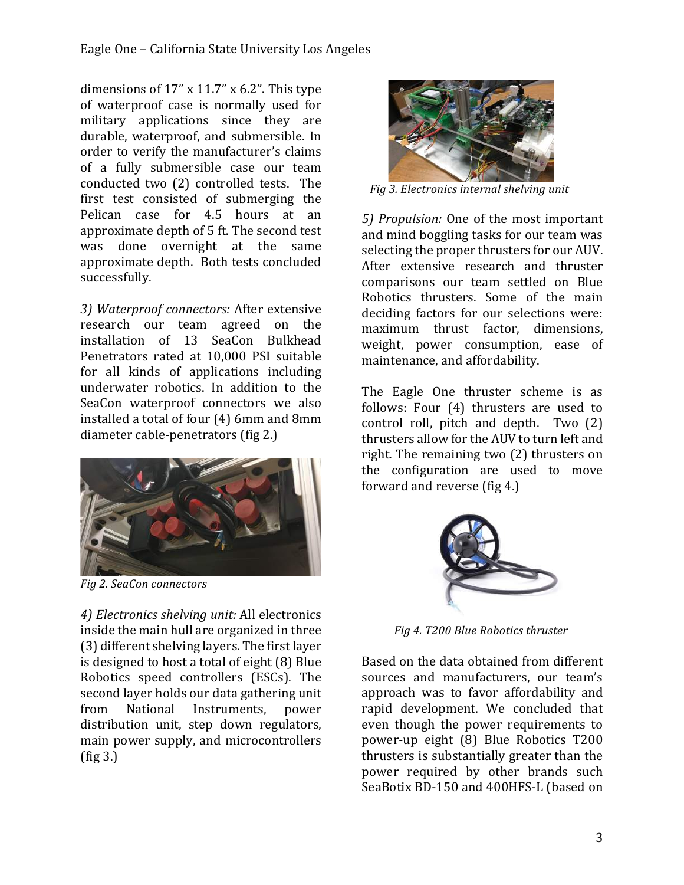dimensions of  $17''$  x  $11.7''$  x  $6.2''$ . This type of waterproof case is normally used for military applications since they are durable, waterproof, and submersible. In order to verify the manufacturer's claims of a fully submersible case our team conducted two (2) controlled tests. The first test consisted of submerging the Pelican case for 4.5 hours at an approximate depth of 5 ft. The second test was done overnight at the same approximate depth. Both tests concluded successfully. 

3) Waterproof connectors: After extensive research our team agreed on the installation of 13 SeaCon Bulkhead Penetrators rated at 10,000 PSI suitable for all kinds of applications including underwater robotics. In addition to the SeaCon waterproof connectors we also installed a total of four (4) 6mm and 8mm diameter cable-penetrators (fig 2.)



*Fig 2. SeaCon connectors*

4) *Electronics shelving unit:* All electronics inside the main hull are organized in three (3) different shelving layers. The first layer is designed to host a total of eight (8) Blue Robotics speed controllers (ESCs). The second layer holds our data gathering unit from National Instruments, power distribution unit, step down regulators, main power supply, and microcontrollers  $(fig 3.)$ 



 *Fig 3. Electronics internal shelving unit*

5) *Propulsion:* One of the most important and mind boggling tasks for our team was selecting the proper thrusters for our AUV. After extensive research and thruster comparisons our team settled on Blue Robotics thrusters. Some of the main deciding factors for our selections were: maximum thrust factor, dimensions, weight, power consumption, ease of maintenance, and affordability.

The Eagle One thruster scheme is as follows: Four (4) thrusters are used to control roll, pitch and depth. Two  $(2)$ thrusters allow for the AUV to turn left and right. The remaining two (2) thrusters on the configuration are used to move forward and reverse (fig 4.)



  *Fig 4. T200 Blue Robotics thruster*

Based on the data obtained from different sources and manufacturers, our team's approach was to favor affordability and rapid development. We concluded that even though the power requirements to power-up eight (8) Blue Robotics T200 thrusters is substantially greater than the power required by other brands such SeaBotix BD-150 and 400HFS-L (based on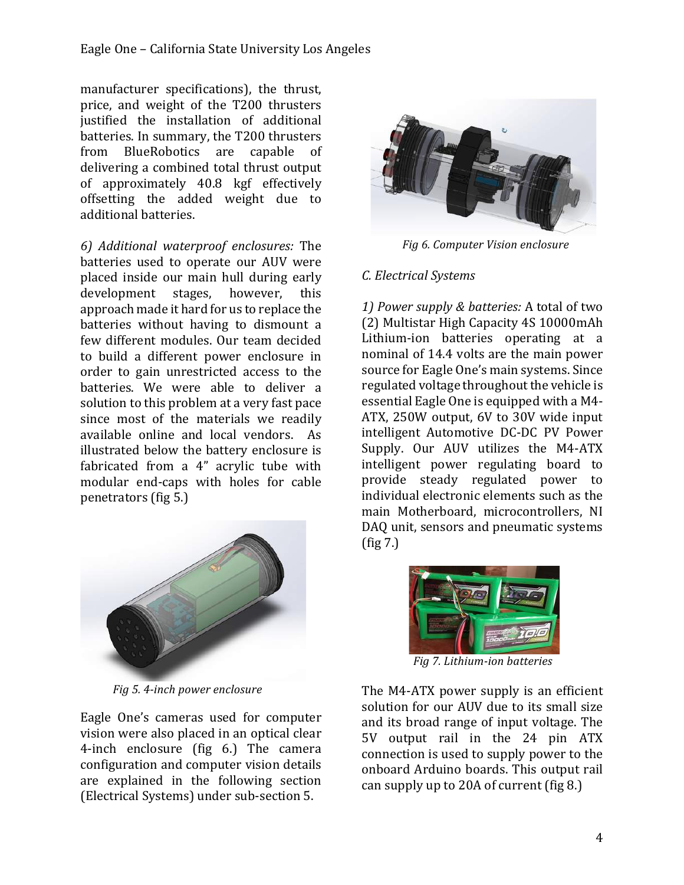manufacturer specifications), the thrust, price, and weight of the T200 thrusters justified the installation of additional batteries. In summary, the T200 thrusters from BlueRobotics are capable of delivering a combined total thrust output of approximately 40.8 kgf effectively offsetting the added weight due to additional batteries.

*6) Additional waterproof enclosures:* The batteries used to operate our AUV were placed inside our main hull during early development stages, however, this approach made it hard for us to replace the batteries without having to dismount a few different modules. Our team decided to build a different power enclosure in order to gain unrestricted access to the batteries. We were able to deliver a solution to this problem at a very fast pace since most of the materials we readily available online and local vendors. As illustrated below the battery enclosure is fabricated from a 4" acrylic tube with modular end-caps with holes for cable penetrators (fig 5.)



 *Fig 5. 4-inch power enclosure*

Eagle One's cameras used for computer vision were also placed in an optical clear 4-inch enclosure (fig 6.) The camera configuration and computer vision details are explained in the following section (Electrical Systems) under sub-section 5.



*Fig 6. Computer Vision enclosure* 

## *C. Electrical Systems*

1) Power supply & batteries: A total of two (2) Multistar High Capacity 4S 10000mAh Lithium-ion batteries operating at a nominal of 14.4 volts are the main power source for Eagle One's main systems. Since regulated voltage throughout the vehicle is essential Eagle One is equipped with a M4-ATX, 250W output, 6V to 30V wide input intelligent Automotive DC-DC PV Power Supply. Our AUV utilizes the M4-ATX intelligent power regulating board to provide steady regulated power to individual electronic elements such as the main Motherboard, microcontrollers, NI DAQ unit, sensors and pneumatic systems  $(fig 7.)$ 



 *Fig 7. Lithium-ion batteries*

The M4-ATX power supply is an efficient solution for our AUV due to its small size and its broad range of input voltage. The 5V output rail in the 24 pin ATX connection is used to supply power to the onboard Arduino boards. This output rail can supply up to 20A of current  $fig 8$ .)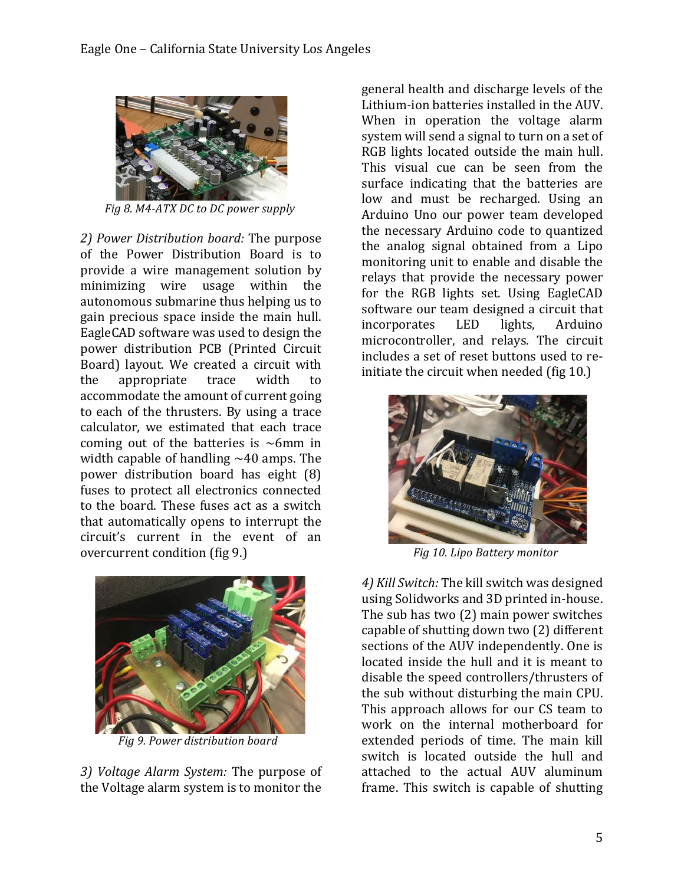

*Fig 8. M4-ATX DC to DC power supply* 

2) Power Distribution board: The purpose of the Power Distribution Board is to provide a wire management solution by minimizing wire usage within the autonomous submarine thus helping us to gain precious space inside the main hull. EagleCAD software was used to design the power distribution PCB (Printed Circuit Board) layout. We created a circuit with the appropriate trace width to accommodate the amount of current going to each of the thrusters. By using a trace calculator, we estimated that each trace coming out of the batteries is  $\sim$ 6mm in width capable of handling  $\sim$ 40 amps. The power distribution board has eight  $(8)$ fuses to protect all electronics connected to the board. These fuses act as a switch that automatically opens to interrupt the circuit's current in the event of an overcurrent condition (fig 9.)



 *Fig 9. Power distribution board*

3) *Voltage Alarm System:* The purpose of the Voltage alarm system is to monitor the

general health and discharge levels of the Lithium-ion batteries installed in the AUV. When in operation the voltage alarm system will send a signal to turn on a set of RGB lights located outside the main hull. This visual cue can be seen from the surface indicating that the batteries are low and must be recharged. Using an Arduino Uno our power team developed the necessary Arduino code to quantized the analog signal obtained from a Lipo monitoring unit to enable and disable the relays that provide the necessary power for the RGB lights set. Using EagleCAD software our team designed a circuit that incorporates LED lights, Arduino microcontroller, and relays. The circuit includes a set of reset buttons used to reinitiate the circuit when needed (fig 10.)



*Fig 10. Lipo Battery monitor* 

4) *Kill Switch:* The kill switch was designed using Solidworks and 3D printed in-house. The sub has two  $(2)$  main power switches capable of shutting down two (2) different sections of the AUV independently. One is located inside the hull and it is meant to disable the speed controllers/thrusters of the sub without disturbing the main CPU. This approach allows for our CS team to work on the internal motherboard for extended periods of time. The main kill switch is located outside the hull and attached to the actual AUV aluminum frame. This switch is capable of shutting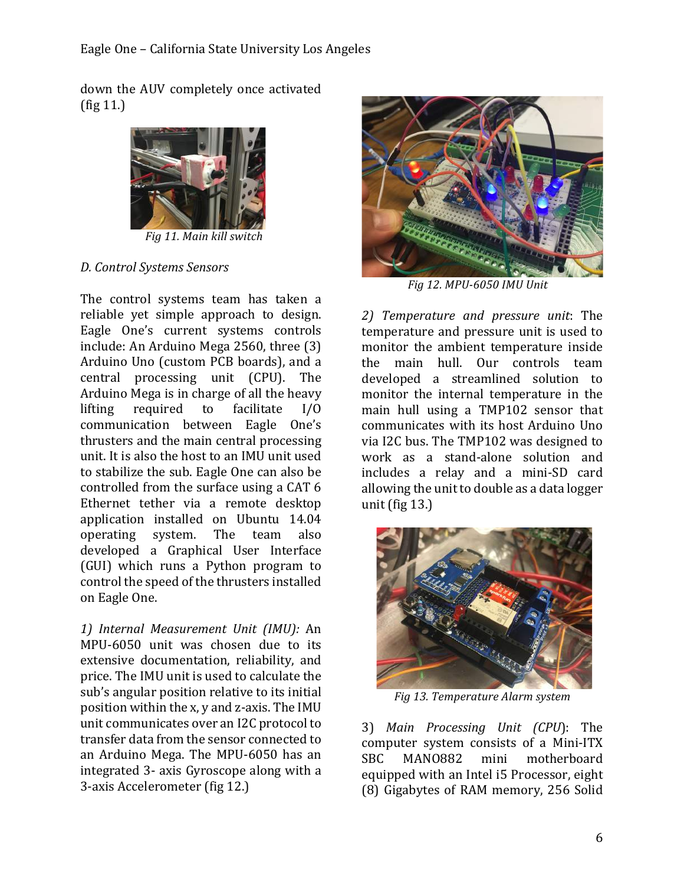down the AUV completely once activated  $(fig 11.)$ 



 *Fig 11. Main kill switch*

### *D. Control Systems Sensors*

The control systems team has taken a reliable vet simple approach to design. Eagle One's current systems controls include: An Arduino Mega 2560, three (3) Arduino Uno (custom PCB boards), and a central processing unit (CPU). The Arduino Mega is in charge of all the heavy lifting required to facilitate  $I/O$ communication between Eagle One's thrusters and the main central processing unit. It is also the host to an IMU unit used to stabilize the sub. Eagle One can also be controlled from the surface using a CAT 6 Ethernet tether via a remote desktop application installed on Ubuntu 14.04 operating system. The team also developed a Graphical User Interface (GUI) which runs a Python program to control the speed of the thrusters installed on Eagle One.

*1) Internal Measurement Unit (IMU):* An MPU-6050 unit was chosen due to its extensive documentation, reliability, and price. The IMU unit is used to calculate the sub's angular position relative to its initial position within the x, y and z-axis. The IMU unit communicates over an I2C protocol to transfer data from the sensor connected to an Arduino Mega. The MPU-6050 has an integrated 3- axis Gyroscope along with a 3-axis Accelerometer (fig 12.)



 *Fig 12. MPU-6050 IMU Unit*

*2) Temperature and pressure unit*: The temperature and pressure unit is used to monitor the ambient temperature inside the main hull. Our controls team developed a streamlined solution to monitor the internal temperature in the main hull using a TMP102 sensor that communicates with its host Arduino Uno via I2C bus. The TMP102 was designed to work as a stand-alone solution and includes a relay and a mini-SD card allowing the unit to double as a data logger unit (fig  $13.$ )



 *Fig 13. Temperature Alarm system*

3) Main Processing Unit (CPU): The computer system consists of a Mini-ITX SBC MANO882 mini motherboard equipped with an Intel i5 Processor, eight (8) Gigabytes of RAM memory, 256 Solid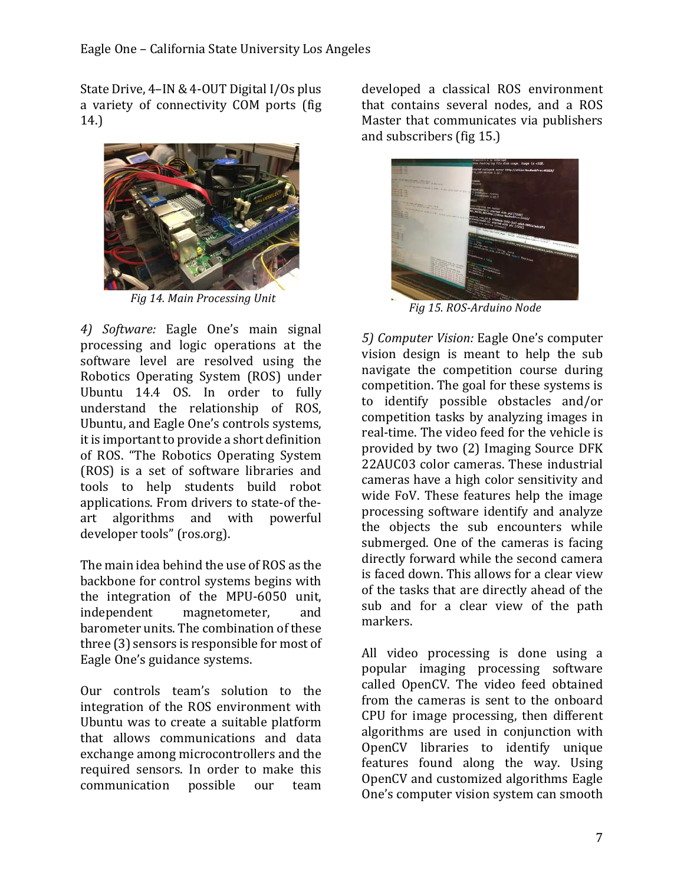State Drive, 4–IN & 4-OUT Digital I/Os plus a variety of connectivity COM ports (fig 14.)



 *Fig 14. Main Processing Unit*

*4) Software:* Eagle One's main signal processing and logic operations at the software level are resolved using the Robotics Operating System (ROS) under Ubuntu 14.4 OS. In order to fully understand the relationship of ROS, Ubuntu, and Eagle One's controls systems, it is important to provide a short definition of ROS. "The Robotics Operating System (ROS) is a set of software libraries and tools to help students build robot applications. From drivers to state-of theart algorithms and with powerful developer tools" (ros.org).

The main idea behind the use of ROS as the backbone for control systems begins with the integration of the MPU-6050 unit, independent magnetometer, and barometer units. The combination of these three  $(3)$  sensors is responsible for most of Eagle One's guidance systems.

Our controls team's solution to the integration of the ROS environment with Ubuntu was to create a suitable platform that allows communications and data exchange among microcontrollers and the required sensors. In order to make this communication possible our team 

developed a classical ROS environment that contains several nodes, and a ROS Master that communicates via publishers and subscribers (fig 15.)



 *Fig 15. ROS-Arduino Node*

*5) Computer Vision:* Eagle One's computer vision design is meant to help the sub navigate the competition course during competition. The goal for these systems is to identify possible obstacles and/or competition tasks by analyzing images in real-time. The video feed for the vehicle is provided by two (2) Imaging Source DFK 22AUC03 color cameras. These industrial cameras have a high color sensitivity and wide FoV. These features help the image processing software identify and analyze the objects the sub encounters while submerged. One of the cameras is facing directly forward while the second camera is faced down. This allows for a clear view of the tasks that are directly ahead of the sub and for a clear view of the path markers.

All video processing is done using a popular imaging processing software called OpenCV. The video feed obtained from the cameras is sent to the onboard CPU for image processing, then different algorithms are used in conjunction with OpenCV libraries to identify unique features found along the way. Using OpenCV and customized algorithms Eagle One's computer vision system can smooth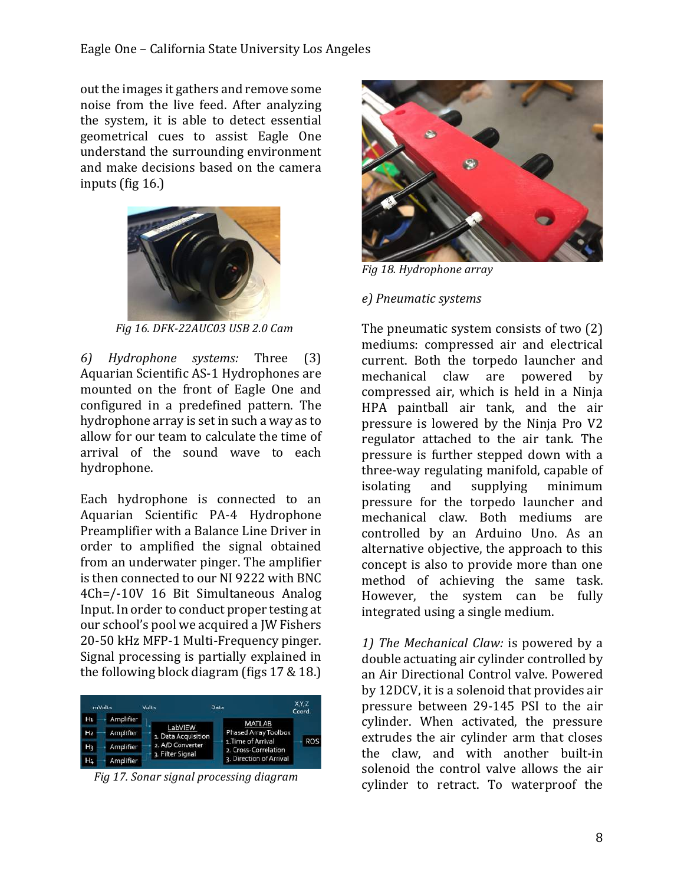out the images it gathers and remove some noise from the live feed. After analyzing the system, it is able to detect essential geometrical cues to assist Eagle One understand the surrounding environment and make decisions based on the camera inputs (fig  $16$ .)



 *Fig 16. DFK-22AUC03 USB 2.0 Cam*

*6) Hydrophone systems:* Three (3) Aquarian Scientific AS-1 Hydrophones are mounted on the front of Eagle One and configured in a predefined pattern. The hydrophone array is set in such a way as to allow for our team to calculate the time of arrival of the sound wave to each hydrophone.

Each hydrophone is connected to an Aquarian Scientific PA-4 Hydrophone Preamplifier with a Balance Line Driver in order to amplified the signal obtained from an underwater pinger. The amplifier is then connected to our NI 9222 with BNC 4Ch=/-10V 16 Bit Simultaneous Analog Input. In order to conduct proper testing at our school's pool we acquired a JW Fishers 20-50 kHz MFP-1 Multi-Frequency pinger. Signal processing is partially explained in the following block diagram (figs  $17 \& 18$ .)

| mVolts         |           | Volts                          | Data                                                                                | X.Y.Z<br>Coord. |
|----------------|-----------|--------------------------------|-------------------------------------------------------------------------------------|-----------------|
| $H_1$          | Amplifier | LabVIEW<br>1. Data Acquisition |                                                                                     |                 |
| H <sub>2</sub> | Amplifier |                                | <b>MATLAB</b><br>Phased Array Toolbox<br>1. Time of Arrival<br>2. Cross-Correlation |                 |
| H3             | Amplifier | 2. A/D Converter               |                                                                                     | ROS             |
| H4             | Amplifier | 3. Filter Signal               | 3. Direction of Arrival                                                             |                 |

 *Fig 17. Sonar signal processing diagram*



*Fig 18. Hydrophone array*

## *e) Pneumatic systems*

The pneumatic system consists of two  $(2)$ mediums: compressed air and electrical current. Both the torpedo launcher and mechanical claw are powered by compressed air, which is held in a Ninja HPA paintball air tank, and the air pressure is lowered by the Ninja Pro V2 regulator attached to the air tank. The pressure is further stepped down with a three-way regulating manifold, capable of isolating and supplying minimum pressure for the torpedo launcher and mechanical claw. Both mediums are controlled by an Arduino Uno. As an alternative objective, the approach to this concept is also to provide more than one method of achieving the same task. However, the system can be fully integrated using a single medium.

1) The Mechanical Claw: is powered by a double actuating air cylinder controlled by an Air Directional Control valve. Powered by 12DCV, it is a solenoid that provides air pressure between 29-145 PSI to the air cylinder. When activated, the pressure extrudes the air cylinder arm that closes the claw, and with another built-in solenoid the control valve allows the air cylinder to retract. To waterproof the